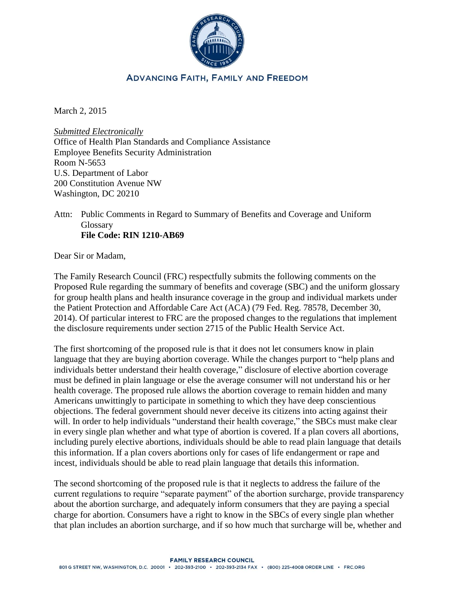

## **ADVANCING FAITH, FAMILY AND FREEDOM**

March 2, 2015

*Submitted Electronically* Office of Health Plan Standards and Compliance Assistance Employee Benefits Security Administration Room N-5653 U.S. Department of Labor 200 Constitution Avenue NW Washington, DC 20210

### Attn: Public Comments in Regard to Summary of Benefits and Coverage and Uniform Glossary **File Code: RIN 1210-AB69**

Dear Sir or Madam,

The Family Research Council (FRC) respectfully submits the following comments on the Proposed Rule regarding the summary of benefits and coverage (SBC) and the uniform glossary for group health plans and health insurance coverage in the group and individual markets under the Patient Protection and Affordable Care Act (ACA) (79 Fed. Reg. 78578, December 30, 2014). Of particular interest to FRC are the proposed changes to the regulations that implement the disclosure requirements under section 2715 of the Public Health Service Act.

The first shortcoming of the proposed rule is that it does not let consumers know in plain language that they are buying abortion coverage. While the changes purport to "help plans and individuals better understand their health coverage," disclosure of elective abortion coverage must be defined in plain language or else the average consumer will not understand his or her health coverage. The proposed rule allows the abortion coverage to remain hidden and many Americans unwittingly to participate in something to which they have deep conscientious objections. The federal government should never deceive its citizens into acting against their will. In order to help individuals "understand their health coverage," the SBCs must make clear in every single plan whether and what type of abortion is covered. If a plan covers all abortions, including purely elective abortions, individuals should be able to read plain language that details this information. If a plan covers abortions only for cases of life endangerment or rape and incest, individuals should be able to read plain language that details this information.

The second shortcoming of the proposed rule is that it neglects to address the failure of the current regulations to require "separate payment" of the abortion surcharge, provide transparency about the abortion surcharge, and adequately inform consumers that they are paying a special charge for abortion. Consumers have a right to know in the SBCs of every single plan whether that plan includes an abortion surcharge, and if so how much that surcharge will be, whether and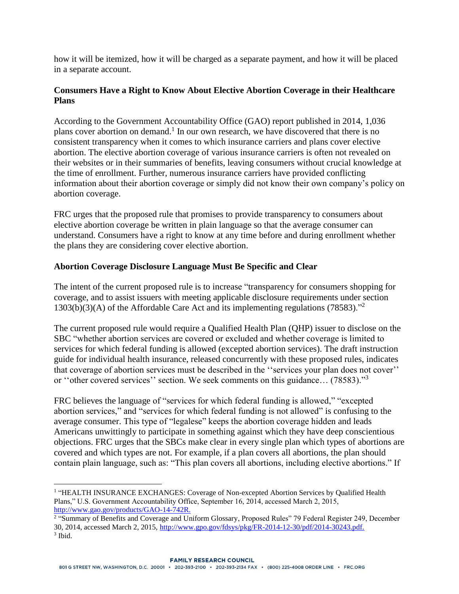how it will be itemized, how it will be charged as a separate payment, and how it will be placed in a separate account.

# **Consumers Have a Right to Know About Elective Abortion Coverage in their Healthcare Plans**

According to the Government Accountability Office (GAO) report published in 2014, 1,036 plans cover abortion on demand.<sup>1</sup> In our own research, we have discovered that there is no consistent transparency when it comes to which insurance carriers and plans cover elective abortion. The elective abortion coverage of various insurance carriers is often not revealed on their websites or in their summaries of benefits, leaving consumers without crucial knowledge at the time of enrollment. Further, numerous insurance carriers have provided conflicting information about their abortion coverage or simply did not know their own company's policy on abortion coverage.

FRC urges that the proposed rule that promises to provide transparency to consumers about elective abortion coverage be written in plain language so that the average consumer can understand. Consumers have a right to know at any time before and during enrollment whether the plans they are considering cover elective abortion.

## **Abortion Coverage Disclosure Language Must Be Specific and Clear**

The intent of the current proposed rule is to increase "transparency for consumers shopping for coverage, and to assist issuers with meeting applicable disclosure requirements under section 1303(b)(3)(A) of the Affordable Care Act and its implementing regulations (78583)."<sup>2</sup>

The current proposed rule would require a Qualified Health Plan (QHP) issuer to disclose on the SBC "whether abortion services are covered or excluded and whether coverage is limited to services for which federal funding is allowed (excepted abortion services). The draft instruction guide for individual health insurance, released concurrently with these proposed rules, indicates that coverage of abortion services must be described in the ''services your plan does not cover'' or ''other covered services'' section. We seek comments on this guidance… (78583)."<sup>3</sup>

FRC believes the language of "services for which federal funding is allowed," "excepted abortion services," and "services for which federal funding is not allowed" is confusing to the average consumer. This type of "legalese" keeps the abortion coverage hidden and leads Americans unwittingly to participate in something against which they have deep conscientious objections. FRC urges that the SBCs make clear in every single plan which types of abortions are covered and which types are not. For example, if a plan covers all abortions, the plan should contain plain language, such as: "This plan covers all abortions, including elective abortions." If

 $\overline{a}$ 

<sup>&</sup>lt;sup>1</sup> "HEALTH INSURANCE EXCHANGES: Coverage of Non-excepted Abortion Services by Qualified Health Plans," U.S. Government Accountability Office, September 16, 2014, accessed March 2, 2015, [http://www.gao.gov/products/GAO-14-742R.](http://www.gao.gov/products/GAO-14-742R)

<sup>&</sup>lt;sup>2</sup> "Summary of Benefits and Coverage and Uniform Glossary, Proposed Rules" 79 Federal Register 249, December 30, 2014, accessed March 2, 2015, [http://www.gpo.gov/fdsys/pkg/FR-2014-12-30/pdf/2014-30243.pdf.](http://www.gpo.gov/fdsys/pkg/FR-2014-12-30/pdf/2014-30243.pdf) 3 Ibid.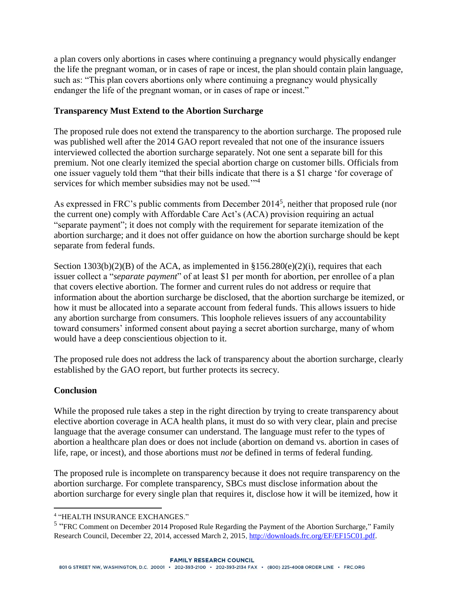a plan covers only abortions in cases where continuing a pregnancy would physically endanger the life the pregnant woman, or in cases of rape or incest, the plan should contain plain language, such as: "This plan covers abortions only where continuing a pregnancy would physically endanger the life of the pregnant woman, or in cases of rape or incest."

### **Transparency Must Extend to the Abortion Surcharge**

The proposed rule does not extend the transparency to the abortion surcharge. The proposed rule was published well after the 2014 GAO report revealed that not one of the insurance issuers interviewed collected the abortion surcharge separately. Not one sent a separate bill for this premium. Not one clearly itemized the special abortion charge on customer bills. Officials from one issuer vaguely told them "that their bills indicate that there is a \$1 charge 'for coverage of services for which member subsidies may not be used."<sup>4</sup>

As expressed in FRC's public comments from December 2014<sup>5</sup>, neither that proposed rule (nor the current one) comply with Affordable Care Act's (ACA) provision requiring an actual "separate payment"; it does not comply with the requirement for separate itemization of the abortion surcharge; and it does not offer guidance on how the abortion surcharge should be kept separate from federal funds.

Section  $1303(b)(2)(B)$  of the ACA, as implemented in  $$156.280(e)(2)(i)$ , requires that each issuer collect a "*separate payment*" of at least \$1 per month for abortion, per enrollee of a plan that covers elective abortion. The former and current rules do not address or require that information about the abortion surcharge be disclosed, that the abortion surcharge be itemized, or how it must be allocated into a separate account from federal funds. This allows issuers to hide any abortion surcharge from consumers. This loophole relieves issuers of any accountability toward consumers' informed consent about paying a secret abortion surcharge, many of whom would have a deep conscientious objection to it.

The proposed rule does not address the lack of transparency about the abortion surcharge, clearly established by the GAO report, but further protects its secrecy.

#### **Conclusion**

While the proposed rule takes a step in the right direction by trying to create transparency about elective abortion coverage in ACA health plans, it must do so with very clear, plain and precise language that the average consumer can understand. The language must refer to the types of abortion a healthcare plan does or does not include (abortion on demand vs. abortion in cases of life, rape, or incest), and those abortions must *not* be defined in terms of federal funding.

The proposed rule is incomplete on transparency because it does not require transparency on the abortion surcharge. For complete transparency, SBCs must disclose information about the abortion surcharge for every single plan that requires it, disclose how it will be itemized, how it

 $\overline{a}$ 4 "HEALTH INSURANCE EXCHANGES."

<sup>&</sup>lt;sup>5</sup> "FRC Comment on December 2014 Proposed Rule Regarding the Payment of the Abortion Surcharge," Family Research Council, December 22, 2014, accessed March 2, 2015[, http://downloads.frc.org/EF/EF15C01.pdf.](http://downloads.frc.org/EF/EF15C01.pdf)